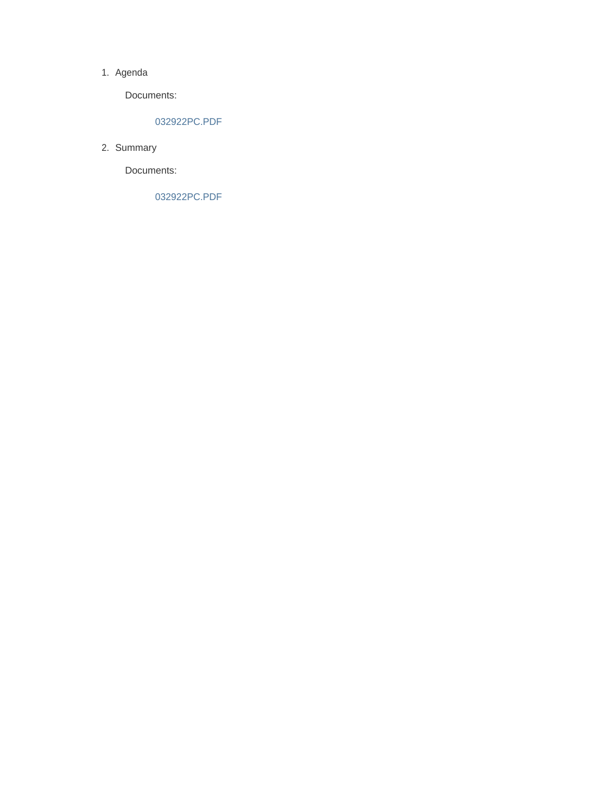#### 1. Agenda

Documents:

#### 032922PC.PDF

2. Summary

Documents:

032922PC.PDF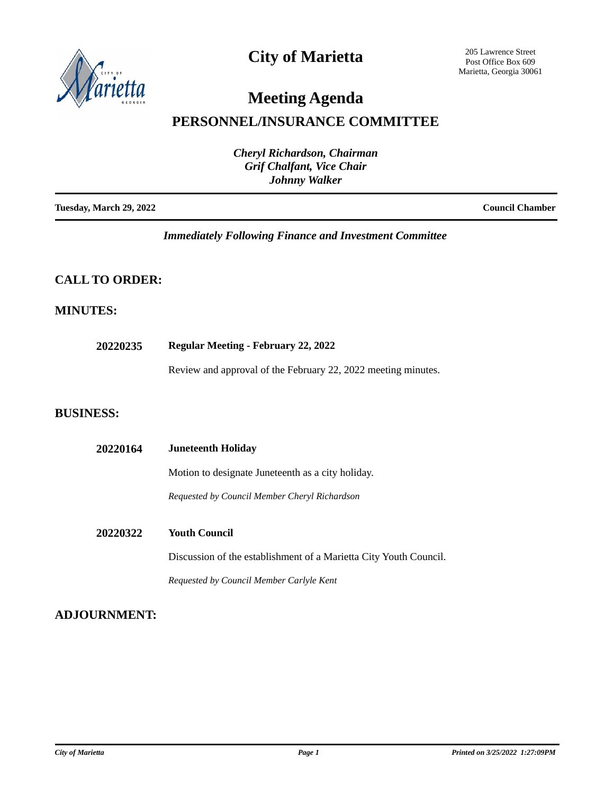

## **City of Marietta**

205 Lawrence Street Post Office Box 609 Marietta, Georgia 30061

# **Meeting Agenda**

### **PERSONNEL/INSURANCE COMMITTEE**

| <b>Cheryl Richardson, Chairman</b><br><b>Grif Chalfant, Vice Chair</b> |                        |
|------------------------------------------------------------------------|------------------------|
| <b>Johnny Walker</b>                                                   |                        |
| Tuesday, March 29, 2022                                                | <b>Council Chamber</b> |

#### *Immediately Following Finance and Investment Committee*

### **CALL TO ORDER:**

### **MINUTES:**

Review and approval of the February 22, 2022 meeting minutes.

#### **BUSINESS:**

| 20220164        | <b>Juneteenth Holiday</b>                                         |
|-----------------|-------------------------------------------------------------------|
|                 | Motion to designate Juneteenth as a city holiday.                 |
|                 | Requested by Council Member Cheryl Richardson                     |
| <b>20220322</b> | <b>Youth Council</b>                                              |
|                 | Discussion of the establishment of a Marietta City Youth Council. |
|                 | Requested by Council Member Carlyle Kent                          |
|                 |                                                                   |

### **ADJOURNMENT:**